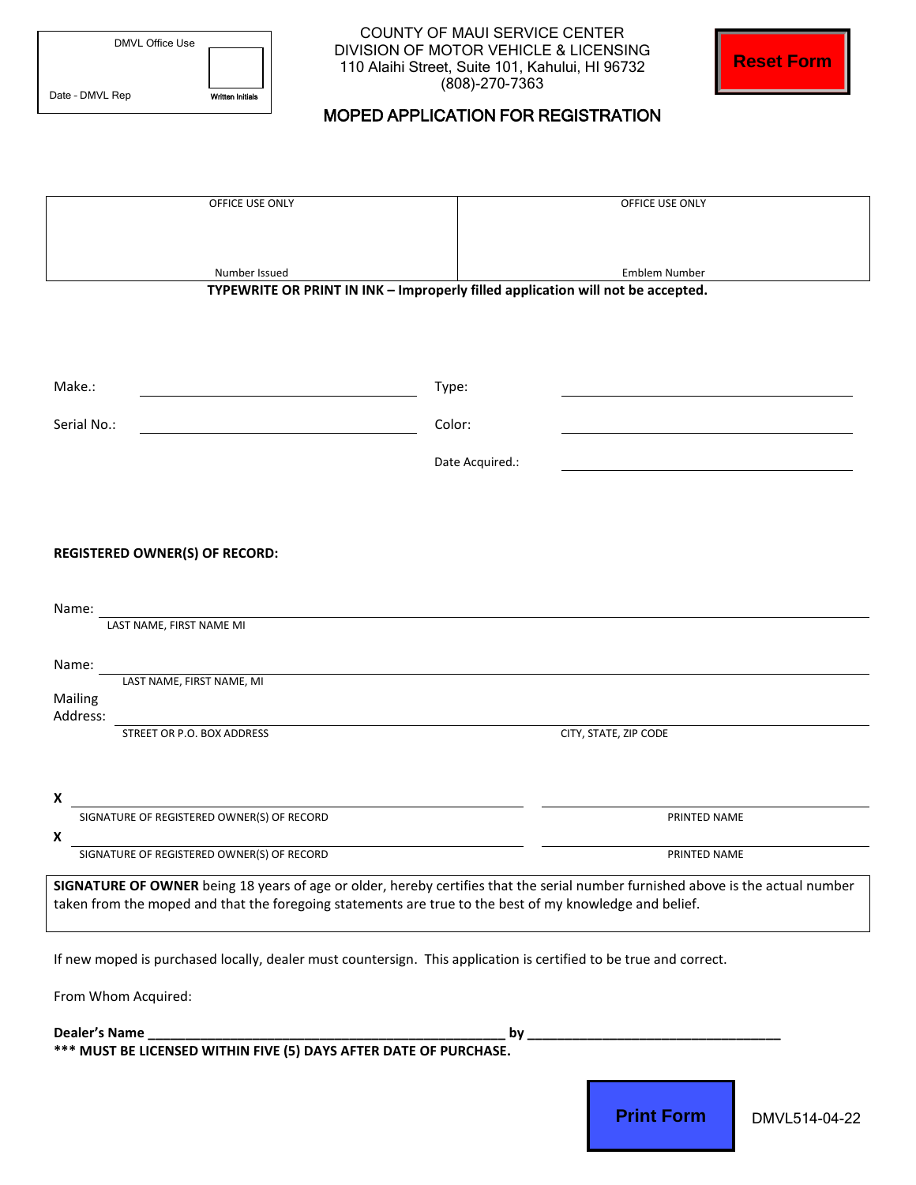| DMVL Office Use |                         |
|-----------------|-------------------------|
| Date - DMVL Rep | <b>Written Initials</b> |

COUNTY OF MAUI SERVICE CENTER DIVISION OF MOTOR VEHICLE & LICENSING 110 Alaihi Street, Suite 101, Kahului, HI 96732 (808)-270-7363

## MOPED APPLICATION FOR REGISTRATION

|                                                                                                         | <b>Reset Form</b><br>110 Alaihi Street, Suite 101, Kahului, HI 96732<br>(808)-270-7363                                          |  |
|---------------------------------------------------------------------------------------------------------|---------------------------------------------------------------------------------------------------------------------------------|--|
| Date - DMVL Rep<br><b>Written Initials</b><br><b>MOPED APPLICATION FOR REGISTRATION</b>                 |                                                                                                                                 |  |
|                                                                                                         |                                                                                                                                 |  |
|                                                                                                         |                                                                                                                                 |  |
| OFFICE USE ONLY                                                                                         | OFFICE USE ONLY                                                                                                                 |  |
|                                                                                                         |                                                                                                                                 |  |
| Number Issued<br><b>Emblem Number</b>                                                                   |                                                                                                                                 |  |
|                                                                                                         | TYPEWRITE OR PRINT IN INK - Improperly filled application will not be accepted.                                                 |  |
|                                                                                                         |                                                                                                                                 |  |
|                                                                                                         |                                                                                                                                 |  |
| Make.:                                                                                                  | Type:                                                                                                                           |  |
| Color:<br>Serial No.:                                                                                   |                                                                                                                                 |  |
|                                                                                                         | Date Acquired.:                                                                                                                 |  |
|                                                                                                         |                                                                                                                                 |  |
|                                                                                                         |                                                                                                                                 |  |
| <b>REGISTERED OWNER(S) OF RECORD:</b>                                                                   |                                                                                                                                 |  |
| Name:                                                                                                   |                                                                                                                                 |  |
| LAST NAME, FIRST NAME MI                                                                                |                                                                                                                                 |  |
| Name:                                                                                                   |                                                                                                                                 |  |
| LAST NAME, FIRST NAME, MI<br>Mailing                                                                    |                                                                                                                                 |  |
| Address:<br>STREET OR P.O. BOX ADDRESS                                                                  | CITY, STATE, ZIP CODE                                                                                                           |  |
|                                                                                                         |                                                                                                                                 |  |
| x                                                                                                       |                                                                                                                                 |  |
| SIGNATURE OF REGISTERED OWNER(S) OF RECORD                                                              | PRINTED NAME                                                                                                                    |  |
| X<br>SIGNATURE OF REGISTERED OWNER(S) OF RECORD                                                         | PRINTED NAME                                                                                                                    |  |
|                                                                                                         | SIGNATURE OF OWNER being 18 years of age or older, hereby certifies that the serial number furnished above is the actual number |  |
| taken from the moped and that the foregoing statements are true to the best of my knowledge and belief. |                                                                                                                                 |  |
|                                                                                                         | If new moped is purchased locally, dealer must countersign. This application is certified to be true and correct.               |  |
|                                                                                                         |                                                                                                                                 |  |
| From Whom Acquired:                                                                                     |                                                                                                                                 |  |
|                                                                                                         | $by_$                                                                                                                           |  |
|                                                                                                         |                                                                                                                                 |  |
|                                                                                                         | <b>Print Form</b><br>DMVL514-04-22                                                                                              |  |